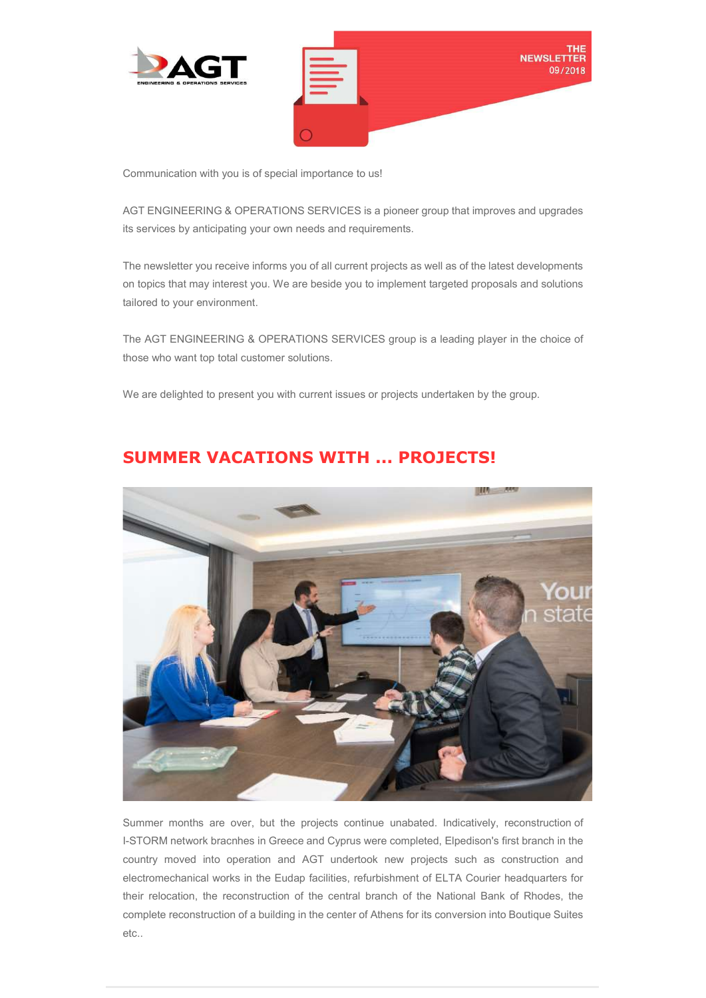

Communication with you is of special importance to us!

AGT ENGINEERING & OPERATIONS SERVICES is a pioneer group that improves and upgrades its services by anticipating your own needs and requirements.

The newsletter you receive informs you of all current projects as well as of the latest developments on topics that may interest you. We are beside you to implement targeted proposals and solutions tailored to your environment.

The AGT ENGINEERING & OPERATIONS SERVICES group is a leading player in the choice of those who want top total customer solutions.

We are delighted to present you with current issues or projects undertaken by the group.



## SUMMER VACATIONS WITH ... PROJECTS!

Summer months are over, but the projects continue unabated. Indicatively, reconstruction of I-STORM network bracnhes in Greece and Cyprus were completed, Elpedison's first branch in the country moved into operation and AGT undertook new projects such as construction and electromechanical works in the Eudap facilities, refurbishment of ELTA Courier headquarters for their relocation, the reconstruction of the central branch of the National Bank of Rhodes, the complete reconstruction of a building in the center of Athens for its conversion into Boutique Suites etc..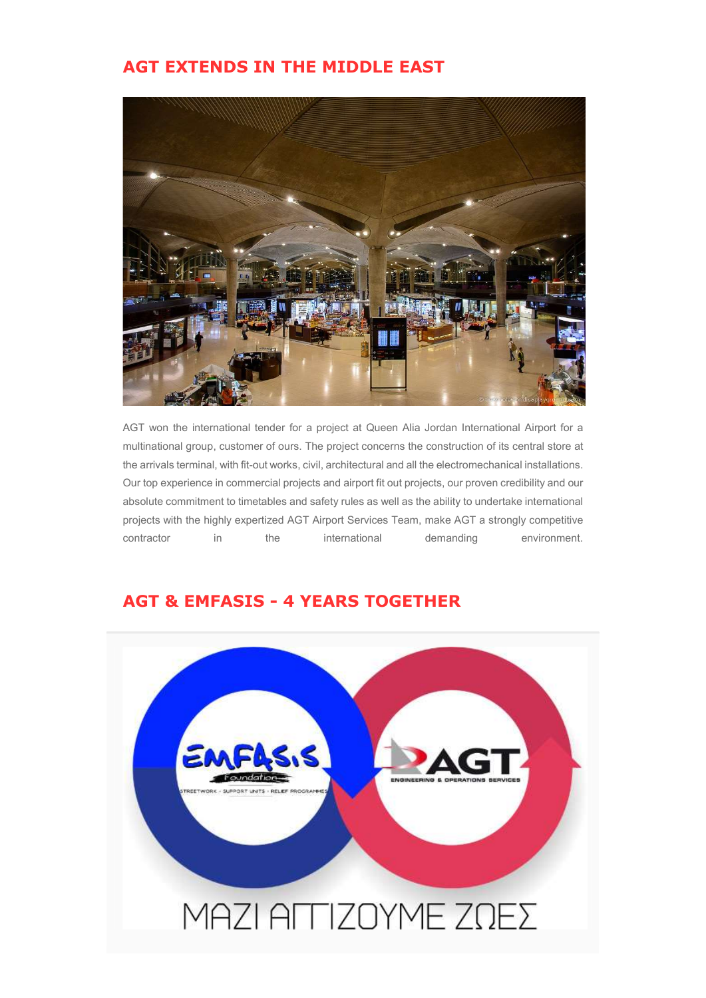## AGT EXTENDS IN THE MIDDLE EAST



AGT won the international tender for a project at Queen Alia Jordan International Airport for a multinational group, customer of ours. The project concerns the construction of its central store at the arrivals terminal, with fit-out works, civil, architectural and all the electromechanical installations. Our top experience in commercial projects and airport fit out projects, our proven credibility and our absolute commitment to timetables and safety rules as well as the ability to undertake international projects with the highly expertized AGT Airport Services Team, make AGT a strongly competitive contractor in the international demanding environment.

## AGT & EMFASIS - 4 YEARS TOGETHER